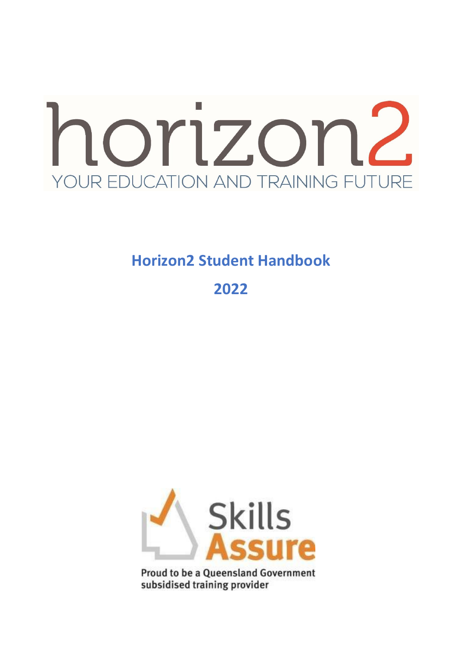

# **Horizon2 Student Handbook**

**2022**



**Proud to be a Queensland Government** subsidised training provider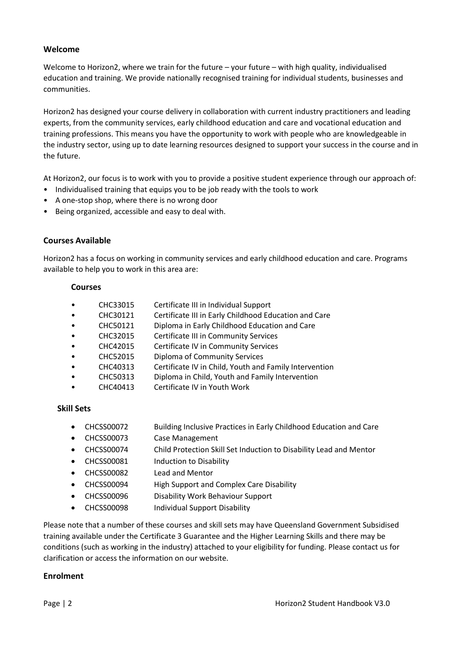## **Welcome**

Welcome to Horizon2, where we train for the future – your future – with high quality, individualised education and training. We provide nationally recognised training for individual students, businesses and communities.

Horizon2 has designed your course delivery in collaboration with current industry practitioners and leading experts, from the community services, early childhood education and care and vocational education and training professions. This means you have the opportunity to work with people who are knowledgeable in the industry sector, using up to date learning resources designed to support your success in the course and in the future.

At Horizon2, our focus is to work with you to provide a positive student experience through our approach of:

- Individualised training that equips you to be job ready with the tools to work
- A one-stop shop, where there is no wrong door
- Being organized, accessible and easy to deal with.

## **Courses Available**

Horizon2 has a focus on working in community services and early childhood education and care. Programs available to help you to work in this area are:

## **Courses**

- CHC33015 Certificate III in Individual Support
- CHC30121 Certificate III in Early Childhood Education and Care
- CHC50121 Diploma in Early Childhood Education and Care
- CHC32015 Certificate III in Community Services
- CHC42015 Certificate IV in Community Services
- CHC52015 Diploma of Community Services
- CHC40313 Certificate IV in Child, Youth and Family Intervention
- CHC50313 Diploma in Child, Youth and Family Intervention
- CHC40413 Certificate IV in Youth Work

#### **Skill Sets**

- CHCSS00072 Building Inclusive Practices in Early Childhood Education and Care
- CHCSS00073 Case Management
- CHCSS00074 Child Protection Skill Set Induction to Disability Lead and Mentor
- CHCSS00081 Induction to Disability
- CHCSS00082 Lead and Mentor
- CHCSS00094 High Support and Complex Care Disability
- CHCSS00096 Disability Work Behaviour Support
- CHCSS00098 Individual Support Disability

Please note that a number of these courses and skill sets may have Queensland Government Subsidised training available under the Certificate 3 Guarantee and the Higher Learning Skills and there may be conditions (such as working in the industry) attached to your eligibility for funding. Please contact us for clarification or access the information on our website.

#### **Enrolment**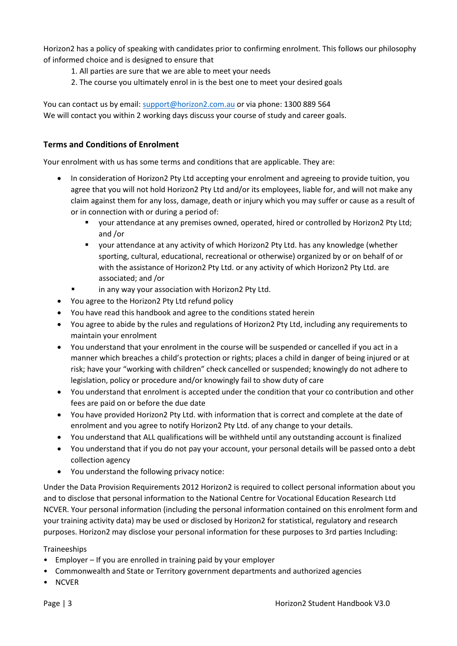Horizon2 has a policy of speaking with candidates prior to confirming enrolment. This follows our philosophy of informed choice and is designed to ensure that

- 1. All parties are sure that we are able to meet your needs
- 2. The course you ultimately enrol in is the best one to meet your desired goals

You can contact us by email: [support@horizon2.com.au](mailto:support@horizon2.com.au) or via phone: 1300 889 564 We will contact you within 2 working days discuss your course of study and career goals.

# **Terms and Conditions of Enrolment**

Your enrolment with us has some terms and conditions that are applicable. They are:

- In consideration of Horizon2 Pty Ltd accepting your enrolment and agreeing to provide tuition, you agree that you will not hold Horizon2 Pty Ltd and/or its employees, liable for, and will not make any claim against them for any loss, damage, death or injury which you may suffer or cause as a result of or in connection with or during a period of:
	- your attendance at any premises owned, operated, hired or controlled by Horizon2 Pty Ltd; and /or
	- vour attendance at any activity of which Horizon2 Pty Ltd. has any knowledge (whether sporting, cultural, educational, recreational or otherwise) organized by or on behalf of or with the assistance of Horizon2 Pty Ltd. or any activity of which Horizon2 Pty Ltd. are associated; and /or
	- in any way your association with Horizon2 Pty Ltd.
- You agree to the Horizon2 Pty Ltd refund policy
- You have read this handbook and agree to the conditions stated herein
- You agree to abide by the rules and regulations of Horizon2 Pty Ltd, including any requirements to maintain your enrolment
- You understand that your enrolment in the course will be suspended or cancelled if you act in a manner which breaches a child's protection or rights; places a child in danger of being injured or at risk; have your "working with children" check cancelled or suspended; knowingly do not adhere to legislation, policy or procedure and/or knowingly fail to show duty of care
- You understand that enrolment is accepted under the condition that your co contribution and other fees are paid on or before the due date
- You have provided Horizon2 Pty Ltd. with information that is correct and complete at the date of enrolment and you agree to notify Horizon2 Pty Ltd. of any change to your details.
- You understand that ALL qualifications will be withheld until any outstanding account is finalized
- You understand that if you do not pay your account, your personal details will be passed onto a debt collection agency
- You understand the following privacy notice:

Under the Data Provision Requirements 2012 Horizon2 is required to collect personal information about you and to disclose that personal information to the National Centre for Vocational Education Research Ltd NCVER. Your personal information (including the personal information contained on this enrolment form and your training activity data) may be used or disclosed by Horizon2 for statistical, regulatory and research purposes. Horizon2 may disclose your personal information for these purposes to 3rd parties Including:

## Traineeships

- Employer If you are enrolled in training paid by your employer
- Commonwealth and State or Territory government departments and authorized agencies
- NCVER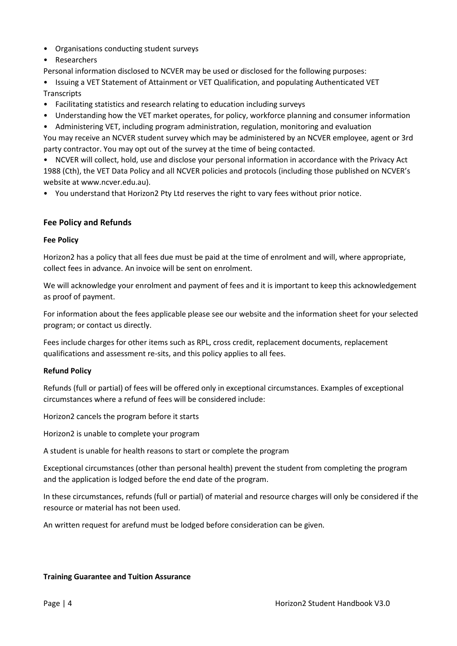- Organisations conducting student surveys
- Researchers

Personal information disclosed to NCVER may be used or disclosed for the following purposes:

- Issuing a VET Statement of Attainment or VET Qualification, and populating Authenticated VET **Transcripts**
- Facilitating statistics and research relating to education including surveys
- Understanding how the VET market operates, for policy, workforce planning and consumer information
- Administering VET, including program administration, regulation, monitoring and evaluation

You may receive an NCVER student survey which may be administered by an NCVER employee, agent or 3rd party contractor. You may opt out of the survey at the time of being contacted.

• NCVER will collect, hold, use and disclose your personal information in accordance with the Privacy Act 1988 (Cth), the VET Data Policy and all NCVER policies and protocols (including those published on NCVER's website at www.ncver.edu.au).

• You understand that Horizon2 Pty Ltd reserves the right to vary fees without prior notice.

## **Fee Policy and Refunds**

#### **Fee Policy**

Horizon2 has a policy that all fees due must be paid at the time of enrolment and will, where appropriate, collect fees in advance. An invoice will be sent on enrolment.

We will acknowledge your enrolment and payment of fees and it is important to keep this acknowledgement as proof of payment.

For information about the fees applicable please see our website and the information sheet for your selected program; or contact us directly.

Fees include charges for other items such as RPL, cross credit, replacement documents, replacement qualifications and assessment re-sits, and this policy applies to all fees.

#### **Refund Policy**

Refunds (full or partial) of fees will be offered only in exceptional circumstances. Examples of exceptional circumstances where a refund of fees will be considered include:

Horizon2 cancels the program before it starts

Horizon2 is unable to complete your program

A student is unable for health reasons to start or complete the program

Exceptional circumstances (other than personal health) prevent the student from completing the program and the application is lodged before the end date of the program.

In these circumstances, refunds (full or partial) of material and resource charges will only be considered if the resource or material has not been used.

An written request for arefund must be lodged before consideration can be given.

#### **Training Guarantee and Tuition Assurance**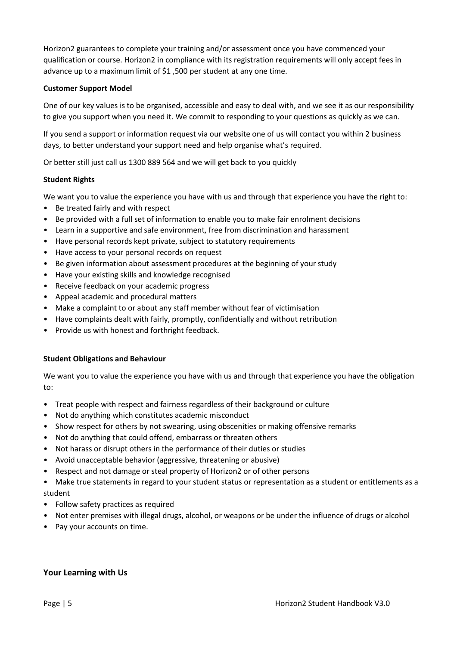Horizon2 guarantees to complete your training and/or assessment once you have commenced your qualification or course. Horizon2 in compliance with its registration requirements will only accept fees in advance up to a maximum limit of \$1 ,500 per student at any one time.

#### **Customer Support Model**

One of our key values is to be organised, accessible and easy to deal with, and we see it as our responsibility to give you support when you need it. We commit to responding to your questions as quickly as we can.

If you send a support or information request via our website one of us will contact you within 2 business days, to better understand your support need and help organise what's required.

Or better still just call us 1300 889 564 and we will get back to you quickly

## **Student Rights**

We want you to value the experience you have with us and through that experience you have the right to:

- Be treated fairly and with respect
- Be provided with a full set of information to enable you to make fair enrolment decisions
- Learn in a supportive and safe environment, free from discrimination and harassment
- Have personal records kept private, subject to statutory requirements
- Have access to your personal records on request
- Be given information about assessment procedures at the beginning of your study
- Have your existing skills and knowledge recognised
- Receive feedback on your academic progress
- Appeal academic and procedural matters
- Make a complaint to or about any staff member without fear of victimisation
- Have complaints dealt with fairly, promptly, confidentially and without retribution
- Provide us with honest and forthright feedback.

#### **Student Obligations and Behaviour**

We want you to value the experience you have with us and through that experience you have the obligation to:

- Treat people with respect and fairness regardless of their background or culture
- Not do anything which constitutes academic misconduct
- Show respect for others by not swearing, using obscenities or making offensive remarks
- Not do anything that could offend, embarrass or threaten others
- Not harass or disrupt others in the performance of their duties or studies
- Avoid unacceptable behavior (aggressive, threatening or abusive)
- Respect and not damage or steal property of Horizon2 or of other persons

• Make true statements in regard to your student status or representation as a student or entitlements as a student

- Follow safety practices as required
- Not enter premises with illegal drugs, alcohol, or weapons or be under the influence of drugs or alcohol
- Pay your accounts on time.

## **Your Learning with Us**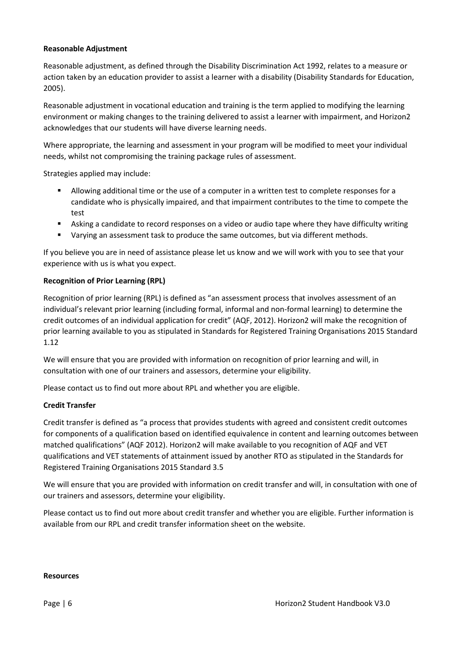#### **Reasonable Adjustment**

Reasonable adjustment, as defined through the Disability Discrimination Act 1992, relates to a measure or action taken by an education provider to assist a learner with a disability (Disability Standards for Education, 2005).

Reasonable adjustment in vocational education and training is the term applied to modifying the learning environment or making changes to the training delivered to assist a learner with impairment, and Horizon2 acknowledges that our students will have diverse learning needs.

Where appropriate, the learning and assessment in your program will be modified to meet your individual needs, whilst not compromising the training package rules of assessment.

Strategies applied may include:

- Allowing additional time or the use of a computer in a written test to complete responses for a candidate who is physically impaired, and that impairment contributes to the time to compete the test
- Asking a candidate to record responses on a video or audio tape where they have difficulty writing
- Varying an assessment task to produce the same outcomes, but via different methods.

If you believe you are in need of assistance please let us know and we will work with you to see that your experience with us is what you expect.

#### **Recognition of Prior Learning (RPL)**

Recognition of prior learning (RPL) is defined as "an assessment process that involves assessment of an individual's relevant prior learning (including formal, informal and non-formal learning) to determine the credit outcomes of an individual application for credit" (AQF, 2012). Horizon2 will make the recognition of prior learning available to you as stipulated in Standards for Registered Training Organisations 2015 Standard 1.12

We will ensure that you are provided with information on recognition of prior learning and will, in consultation with one of our trainers and assessors, determine your eligibility.

Please contact us to find out more about RPL and whether you are eligible.

#### **Credit Transfer**

Credit transfer is defined as "a process that provides students with agreed and consistent credit outcomes for components of a qualification based on identified equivalence in content and learning outcomes between matched qualifications" (AQF 2012). Horizon2 will make available to you recognition of AQF and VET qualifications and VET statements of attainment issued by another RTO as stipulated in the Standards for Registered Training Organisations 2015 Standard 3.5

We will ensure that you are provided with information on credit transfer and will, in consultation with one of our trainers and assessors, determine your eligibility.

Please contact us to find out more about credit transfer and whether you are eligible. Further information is available from our RPL and credit transfer information sheet on the website.

#### **Resources**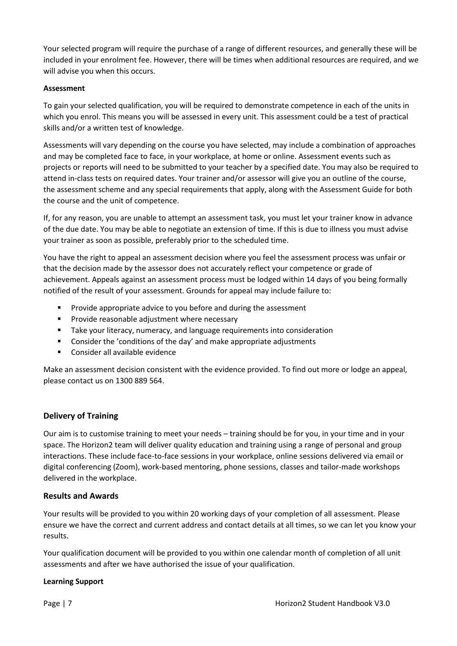Your selected program will require the purchase of a range of different resources, and generally these will be included in your enrolment fee. However, there will be times when additional resources are required, and we will advise you when this occurs.

#### **Assessment**

To gain your selected qualification, you will be required to demonstrate competence in each of the units in which you enrol. This means you will be assessed in every unit. This assessment could be a test of practical skills and/or a written test of knowledge.

Assessments will vary depending on the course you have selected, may include a combination of approaches and may be completed face to face, in your workplace, at home or online. Assessment events such as projects or reports will need to be submitted to your teacher by a specified date. You may also be required to attend in-class tests on required dates. Your trainer and/or assessor will give you an outline of the course, the assessment scheme and any special requirements that apply, along with the Assessment Guide for both the course and the unit of competence.

If, for any reason, you are unable to attempt an assessment task, you must let your trainer know in advance of the due date. You may be able to negotiate an extension of time. If this is due to illness you must advise your trainer as soon as possible, preferably prior to the scheduled time.

You have the right to appeal an assessment decision where you feel the assessment process was unfair or that the decision made by the assessor does not accurately reflect your competence or grade of achievement. Appeals against an assessment process must be lodged within 14 days of you being formally notified of the result of your assessment. Grounds for appeal may include failure to:

- Provide appropriate advice to you before and during the assessment
- Provide reasonable adjustment where necessary
- Take your literacy, numeracy, and language requirements into consideration
- Consider the 'conditions of the day' and make appropriate adjustments
- Consider all available evidence

Make an assessment decision consistent with the evidence provided. To find out more or lodge an appeal, please contact us on 1300 889 564.

## **Delivery of Training**

Our aim is to customise training to meet your needs – training should be for you, in your time and in your space. The Horizon2 team will deliver quality education and training using a range of personal and group interactions. These include face-to-face sessions in your workplace, online sessions delivered via email or digital conferencing (Zoom), work-based mentoring, phone sessions, classes and tailor-made workshops delivered in the workplace.

## **Results and Awards**

Your results will be provided to you within 20 working days of your completion of all assessment. Please ensure we have the correct and current address and contact details at all times, so we can let you know your results.

Your qualification document will be provided to you within one calendar month of completion of all unit assessments and after we have authorised the issue of your qualification.

## **Learning Support**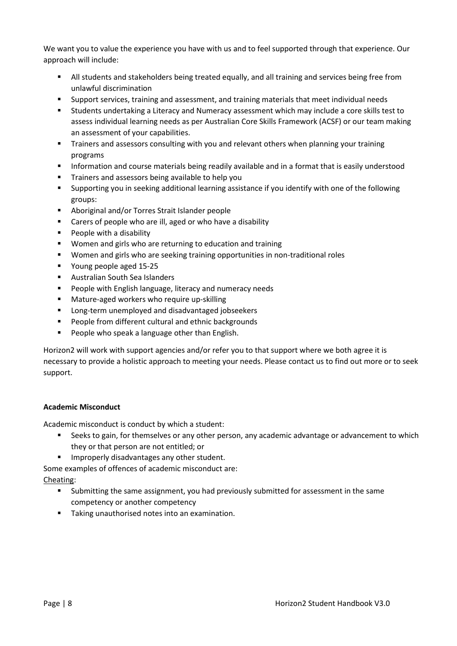We want you to value the experience you have with us and to feel supported through that experience. Our approach will include:

- All students and stakeholders being treated equally, and all training and services being free from unlawful discrimination
- Support services, training and assessment, and training materials that meet individual needs
- Students undertaking a Literacy and Numeracy assessment which may include a core skills test to assess individual learning needs as per Australian Core Skills Framework (ACSF) or our team making an assessment of your capabilities.
- **■** Trainers and assessors consulting with you and relevant others when planning your training programs
- **■** Information and course materials being readily available and in a format that is easily understood
- Trainers and assessors being available to help you
- Supporting you in seeking additional learning assistance if you identify with one of the following groups:
- Aboriginal and/or Torres Strait Islander people
- Carers of people who are ill, aged or who have a disability
- People with a disability
- Women and girls who are returning to education and training
- Women and girls who are seeking training opportunities in non-traditional roles
- Young people aged 15-25
- Australian South Sea Islanders
- People with English language, literacy and numeracy needs
- Mature-aged workers who require up-skilling
- Long-term unemployed and disadvantaged jobseekers
- People from different cultural and ethnic backgrounds
- People who speak a language other than English.

Horizon2 will work with support agencies and/or refer you to that support where we both agree it is necessary to provide a holistic approach to meeting your needs. Please contact us to find out more or to seek support.

## **Academic Misconduct**

Academic misconduct is conduct by which a student:

- Seeks to gain, for themselves or any other person, any academic advantage or advancement to which they or that person are not entitled; or
- Improperly disadvantages any other student.

Some examples of offences of academic misconduct are: Cheating:

- Submitting the same assignment, you had previously submitted for assessment in the same competency or another competency
- Taking unauthorised notes into an examination.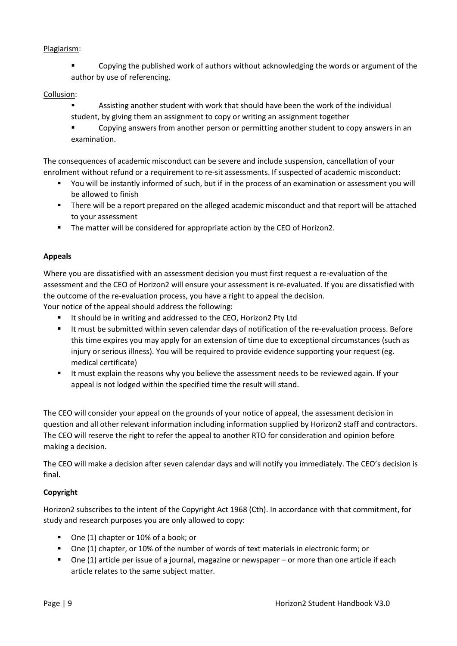## Plagiarism:

Copying the published work of authors without acknowledging the words or argument of the author by use of referencing.

#### Collusion:

- Assisting another student with work that should have been the work of the individual student, by giving them an assignment to copy or writing an assignment together
- Copying answers from another person or permitting another student to copy answers in an examination.

The consequences of academic misconduct can be severe and include suspension, cancellation of your enrolment without refund or a requirement to re-sit assessments. If suspected of academic misconduct:

- You will be instantly informed of such, but if in the process of an examination or assessment you will be allowed to finish
- There will be a report prepared on the alleged academic misconduct and that report will be attached to your assessment
- The matter will be considered for appropriate action by the CEO of Horizon2.

## **Appeals**

Where you are dissatisfied with an assessment decision you must first request a re-evaluation of the assessment and the CEO of Horizon2 will ensure your assessment is re-evaluated. If you are dissatisfied with the outcome of the re-evaluation process, you have a right to appeal the decision.

Your notice of the appeal should address the following:

- It should be in writing and addressed to the CEO, Horizon2 Pty Ltd
- It must be submitted within seven calendar days of notification of the re-evaluation process. Before this time expires you may apply for an extension of time due to exceptional circumstances (such as injury or serious illness). You will be required to provide evidence supporting your request (eg. medical certificate)
- It must explain the reasons why you believe the assessment needs to be reviewed again. If your appeal is not lodged within the specified time the result will stand.

The CEO will consider your appeal on the grounds of your notice of appeal, the assessment decision in question and all other relevant information including information supplied by Horizon2 staff and contractors. The CEO will reserve the right to refer the appeal to another RTO for consideration and opinion before making a decision.

The CEO will make a decision after seven calendar days and will notify you immediately. The CEO's decision is final.

## **Copyright**

Horizon2 subscribes to the intent of the Copyright Act 1968 (Cth). In accordance with that commitment, for study and research purposes you are only allowed to copy:

- One (1) chapter or 10% of a book; or
- One (1) chapter, or 10% of the number of words of text materials in electronic form; or
- One (1) article per issue of a journal, magazine or newspaper or more than one article if each article relates to the same subject matter.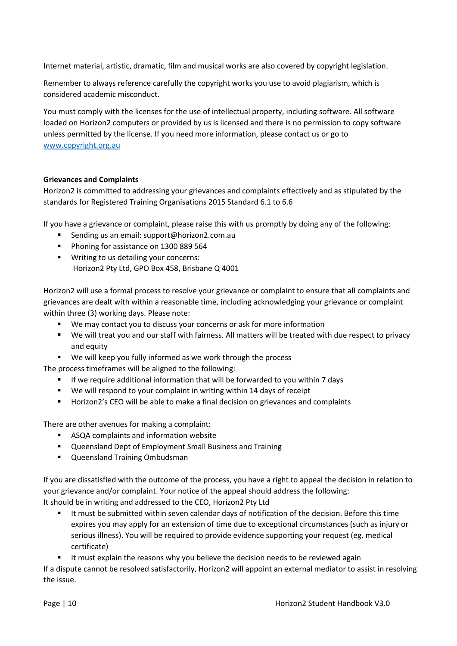Internet material, artistic, dramatic, film and musical works are also covered by copyright legislation.

Remember to always reference carefully the copyright works you use to avoid plagiarism, which is considered academic misconduct.

You must comply with the licenses for the use of intellectual property, including software. All software loaded on Horizon2 computers or provided by us is licensed and there is no permission to copy software unless permitted by the license. If you need more information, please contact us or go to [www.copyright.org.au](http://www.copyright.org.au/)

#### **Grievances and Complaints**

Horizon2 is committed to addressing your grievances and complaints effectively and as stipulated by the standards for Registered Training Organisations 2015 Standard 6.1 to 6.6

If you have a grievance or complaint, please raise this with us promptly by doing any of the following:

- Sending us an email: support@horizon2.com.au
- Phoning for assistance on 1300 889 564
- Writing to us detailing your concerns: Horizon2 Pty Ltd, GPO Box 458, Brisbane Q 4001

Horizon2 will use a formal process to resolve your grievance or complaint to ensure that all complaints and grievances are dealt with within a reasonable time, including acknowledging your grievance or complaint within three (3) working days. Please note:

- We may contact you to discuss your concerns or ask for more information
- We will treat you and our staff with fairness. All matters will be treated with due respect to privacy and equity
- We will keep you fully informed as we work through the process

The process timeframes will be aligned to the following:

- **EXECT** If we require additional information that will be forwarded to you within 7 days
- We will respond to your complaint in writing within 14 days of receipt
- Horizon2's CEO will be able to make a final decision on grievances and complaints

There are other avenues for making a complaint:

- ASQA complaints and information website
- Queensland Dept of Employment Small Business and Training
- Queensland Training Ombudsman

If you are dissatisfied with the outcome of the process, you have a right to appeal the decision in relation to your grievance and/or complaint. Your notice of the appeal should address the following: It should be in writing and addressed to the CEO, Horizon2 Pty Ltd

- It must be submitted within seven calendar days of notification of the decision. Before this time expires you may apply for an extension of time due to exceptional circumstances (such as injury or serious illness). You will be required to provide evidence supporting your request (eg. medical certificate)
- It must explain the reasons why you believe the decision needs to be reviewed again

If a dispute cannot be resolved satisfactorily, Horizon2 will appoint an external mediator to assist in resolving the issue.